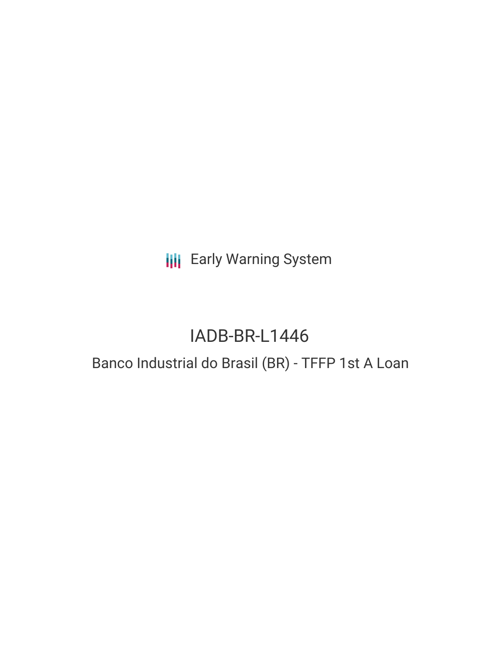# **III** Early Warning System

# IADB-BR-L1446

## Banco Industrial do Brasil (BR) - TFFP 1st A Loan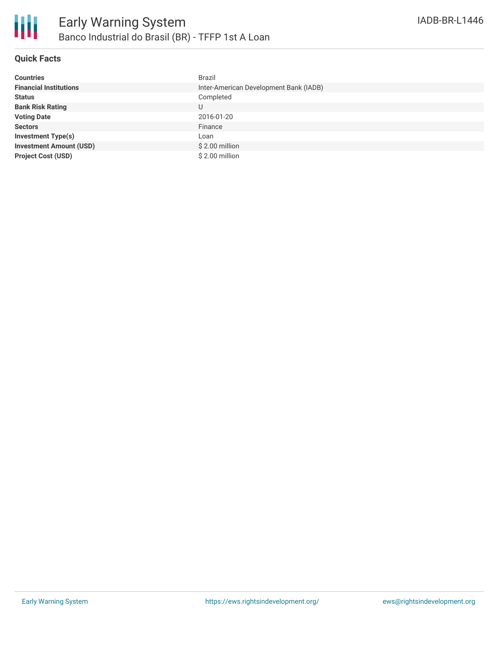

#### **Quick Facts**

| <b>Countries</b>               | Brazil                                 |
|--------------------------------|----------------------------------------|
| <b>Financial Institutions</b>  | Inter-American Development Bank (IADB) |
| <b>Status</b>                  | Completed                              |
| <b>Bank Risk Rating</b>        | U                                      |
| <b>Voting Date</b>             | 2016-01-20                             |
| <b>Sectors</b>                 | Finance                                |
| <b>Investment Type(s)</b>      | Loan                                   |
| <b>Investment Amount (USD)</b> | $$2.00$ million                        |
| <b>Project Cost (USD)</b>      | \$2.00 million                         |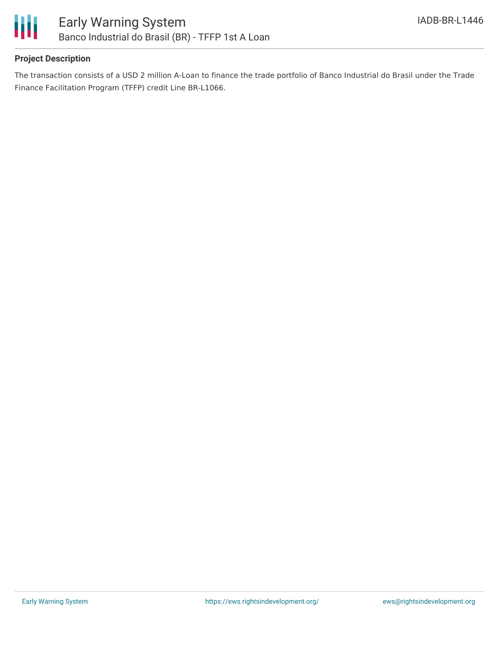

#### **Project Description**

The transaction consists of a USD 2 million A-Loan to finance the trade portfolio of Banco Industrial do Brasil under the Trade Finance Facilitation Program (TFFP) credit Line BR-L1066.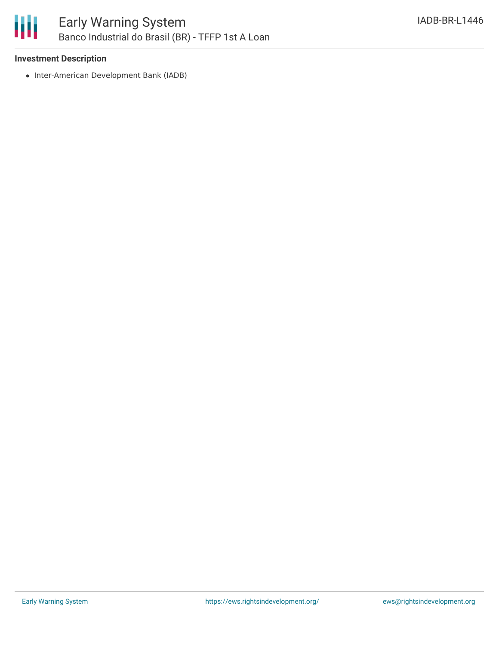

### Early Warning System Banco Industrial do Brasil (BR) - TFFP 1st A Loan

#### **Investment Description**

• Inter-American Development Bank (IADB)